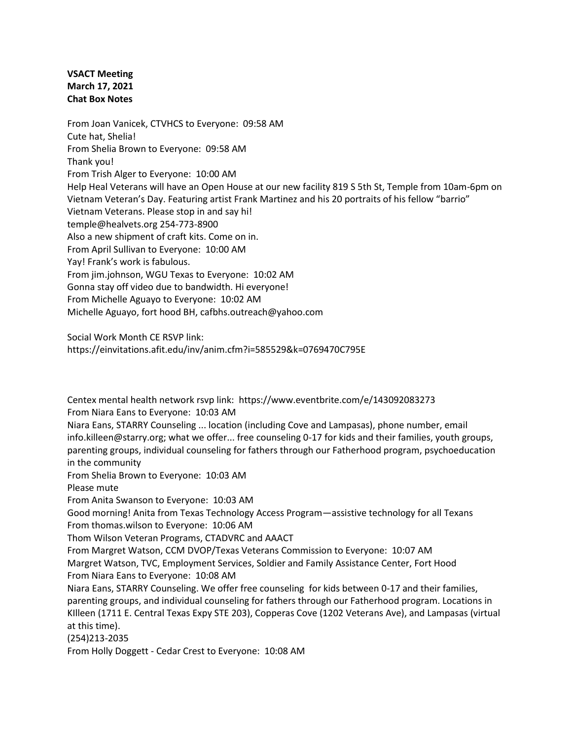**VSACT Meeting March 17, 2021 Chat Box Notes**

From Joan Vanicek, CTVHCS to Everyone: 09:58 AM Cute hat, Shelia! From Shelia Brown to Everyone: 09:58 AM Thank you! From Trish Alger to Everyone: 10:00 AM Help Heal Veterans will have an Open House at our new facility 819 S 5th St, Temple from 10am-6pm on Vietnam Veteran's Day. Featuring artist Frank Martinez and his 20 portraits of his fellow "barrio" Vietnam Veterans. Please stop in and say hi! temple@healvets.org 254-773-8900 Also a new shipment of craft kits. Come on in. From April Sullivan to Everyone: 10:00 AM Yay! Frank's work is fabulous. From jim.johnson, WGU Texas to Everyone: 10:02 AM Gonna stay off video due to bandwidth. Hi everyone! From Michelle Aguayo to Everyone: 10:02 AM Michelle Aguayo, fort hood BH, cafbhs.outreach@yahoo.com

Social Work Month CE RSVP link:

https://einvitations.afit.edu/inv/anim.cfm?i=585529&k=0769470C795E

Centex mental health network rsvp link: https://www.eventbrite.com/e/143092083273 From Niara Eans to Everyone: 10:03 AM

Niara Eans, STARRY Counseling ... location (including Cove and Lampasas), phone number, email info.killeen@starry.org; what we offer... free counseling 0-17 for kids and their families, youth groups, parenting groups, individual counseling for fathers through our Fatherhood program, psychoeducation in the community

From Shelia Brown to Everyone: 10:03 AM

Please mute

From Anita Swanson to Everyone: 10:03 AM

Good morning! Anita from Texas Technology Access Program—assistive technology for all Texans From thomas.wilson to Everyone: 10:06 AM

Thom Wilson Veteran Programs, CTADVRC and AAACT

From Margret Watson, CCM DVOP/Texas Veterans Commission to Everyone: 10:07 AM Margret Watson, TVC, Employment Services, Soldier and Family Assistance Center, Fort Hood From Niara Eans to Everyone: 10:08 AM

Niara Eans, STARRY Counseling. We offer free counseling for kids between 0-17 and their families, parenting groups, and individual counseling for fathers through our Fatherhood program. Locations in KIlleen (1711 E. Central Texas Expy STE 203), Copperas Cove (1202 Veterans Ave), and Lampasas (virtual at this time).

(254)213-2035

From Holly Doggett - Cedar Crest to Everyone: 10:08 AM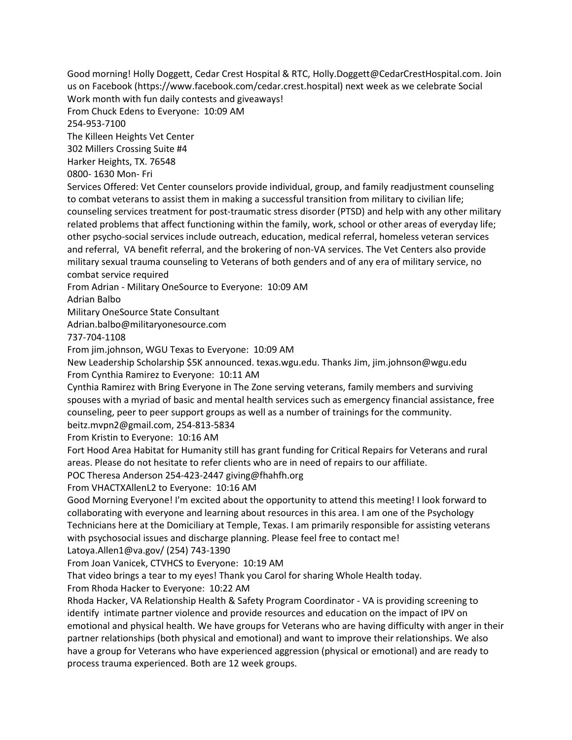Good morning! Holly Doggett, Cedar Crest Hospital & RTC, Holly.Doggett@CedarCrestHospital.com. Join us on Facebook (https://www.facebook.com/cedar.crest.hospital) next week as we celebrate Social Work month with fun daily contests and giveaways! From Chuck Edens to Everyone: 10:09 AM 254-953-7100 The Killeen Heights Vet Center 302 Millers Crossing Suite #4 Harker Heights, TX. 76548 0800- 1630 Mon- Fri Services Offered: Vet Center counselors provide individual, group, and family readjustment counseling to combat veterans to assist them in making a successful transition from military to civilian life; counseling services treatment for post-traumatic stress disorder (PTSD) and help with any other military related problems that affect functioning within the family, work, school or other areas of everyday life; other psycho-social services include outreach, education, medical referral, homeless veteran services and referral, VA benefit referral, and the brokering of non-VA services. The Vet Centers also provide military sexual trauma counseling to Veterans of both genders and of any era of military service, no combat service required From Adrian - Military OneSource to Everyone: 10:09 AM Adrian Balbo Military OneSource State Consultant Adrian.balbo@militaryonesource.com 737-704-1108 From jim.johnson, WGU Texas to Everyone: 10:09 AM New Leadership Scholarship \$5K announced. texas.wgu.edu. Thanks Jim, jim.johnson@wgu.edu From Cynthia Ramirez to Everyone: 10:11 AM Cynthia Ramirez with Bring Everyone in The Zone serving veterans, family members and surviving spouses with a myriad of basic and mental health services such as emergency financial assistance, free counseling, peer to peer support groups as well as a number of trainings for the community. beitz.mvpn2@gmail.com, 254-813-5834 From Kristin to Everyone: 10:16 AM Fort Hood Area Habitat for Humanity still has grant funding for Critical Repairs for Veterans and rural areas. Please do not hesitate to refer clients who are in need of repairs to our affiliate. POC Theresa Anderson 254-423-2447 giving@fhahfh.org From VHACTXAllenL2 to Everyone: 10:16 AM Good Morning Everyone! I'm excited about the opportunity to attend this meeting! I look forward to collaborating with everyone and learning about resources in this area. I am one of the Psychology Technicians here at the Domiciliary at Temple, Texas. I am primarily responsible for assisting veterans with psychosocial issues and discharge planning. Please feel free to contact me! Latoya.Allen1@va.gov/ (254) 743-1390 From Joan Vanicek, CTVHCS to Everyone: 10:19 AM That video brings a tear to my eyes! Thank you Carol for sharing Whole Health today. From Rhoda Hacker to Everyone: 10:22 AM Rhoda Hacker, VA Relationship Health & Safety Program Coordinator - VA is providing screening to identify intimate partner violence and provide resources and education on the impact of IPV on emotional and physical health. We have groups for Veterans who are having difficulty with anger in their partner relationships (both physical and emotional) and want to improve their relationships. We also have a group for Veterans who have experienced aggression (physical or emotional) and are ready to process trauma experienced. Both are 12 week groups.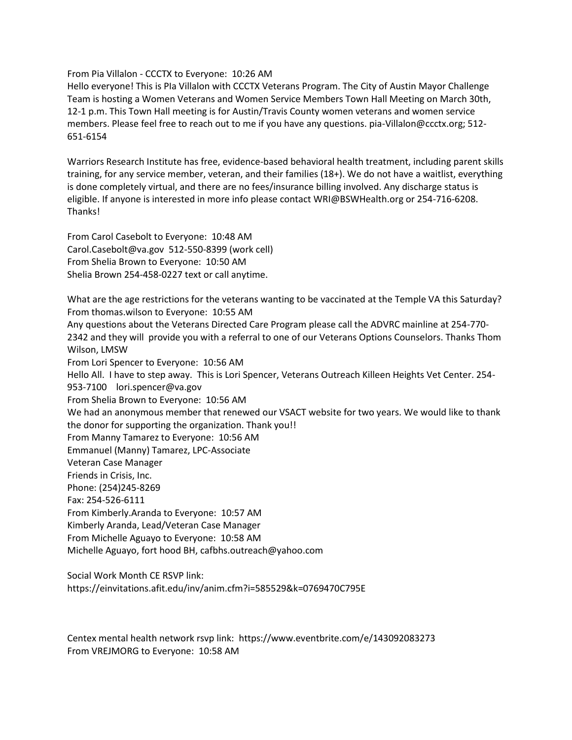From Pia Villalon - CCCTX to Everyone: 10:26 AM

Hello everyone! This is PIa Villalon with CCCTX Veterans Program. The City of Austin Mayor Challenge Team is hosting a Women Veterans and Women Service Members Town Hall Meeting on March 30th, 12-1 p.m. This Town Hall meeting is for Austin/Travis County women veterans and women service members. Please feel free to reach out to me if you have any questions. pia-Villalon@ccctx.org; 512- 651-6154

Warriors Research Institute has free, evidence-based behavioral health treatment, including parent skills training, for any service member, veteran, and their families (18+). We do not have a waitlist, everything is done completely virtual, and there are no fees/insurance billing involved. Any discharge status is eligible. If anyone is interested in more info please contact WRI@BSWHealth.org or 254-716-6208. Thanks!

From Carol Casebolt to Everyone: 10:48 AM Carol.Casebolt@va.gov 512-550-8399 (work cell) From Shelia Brown to Everyone: 10:50 AM Shelia Brown 254-458-0227 text or call anytime.

What are the age restrictions for the veterans wanting to be vaccinated at the Temple VA this Saturday? From thomas.wilson to Everyone: 10:55 AM Any questions about the Veterans Directed Care Program please call the ADVRC mainline at 254-770- 2342 and they will provide you with a referral to one of our Veterans Options Counselors. Thanks Thom Wilson, LMSW From Lori Spencer to Everyone: 10:56 AM Hello All. I have to step away. This is Lori Spencer, Veterans Outreach Killeen Heights Vet Center. 254- 953-7100 lori.spencer@va.gov From Shelia Brown to Everyone: 10:56 AM We had an anonymous member that renewed our VSACT website for two years. We would like to thank the donor for supporting the organization. Thank you!! From Manny Tamarez to Everyone: 10:56 AM Emmanuel (Manny) Tamarez, LPC-Associate Veteran Case Manager Friends in Crisis, Inc. Phone: (254)245-8269 Fax: 254-526-6111 From Kimberly.Aranda to Everyone: 10:57 AM Kimberly Aranda, Lead/Veteran Case Manager From Michelle Aguayo to Everyone: 10:58 AM Michelle Aguayo, fort hood BH, cafbhs.outreach@yahoo.com

Social Work Month CE RSVP link: https://einvitations.afit.edu/inv/anim.cfm?i=585529&k=0769470C795E

Centex mental health network rsvp link: https://www.eventbrite.com/e/143092083273 From VREJMORG to Everyone: 10:58 AM